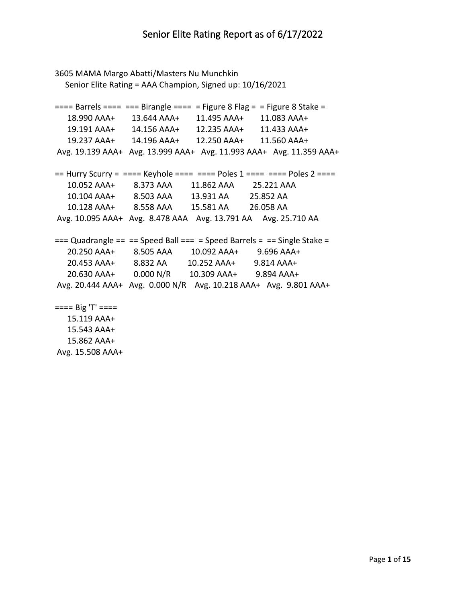```
3605 MAMA Margo Abatti/Masters Nu Munchkin
   Senior Elite Rating = AAA Champion, Signed up: 10/16/2021
=== Barrels === === Birangle === = Figure 8 Flag = = Figure 8 Stake =
   18.990 AAA+ 13.644 AAA+ 11.495 AAA+ 11.083 AAA+
   19.191 AAA+ 14.156 AAA+ 12.235 AAA+ 11.433 AAA+
   19.237 AAA+ 14.196 AAA+ 12.250 AAA+ 11.560 AAA+
Avg. 19.139 AAA+ Avg. 13.999 AAA+ Avg. 11.993 AAA+ Avg. 11.359 AAA+
== Hurry Scurry = ==== Keyhole ===== = Poles 1 ==== = Poles 2 ===
   10.052 AAA+ 8.373 AAA 11.862 AAA 25.221 AAA 
   10.104 AAA+ 8.503 AAA 13.931 AA 25.852 AA 
   10.128 AAA+ 8.558 AAA 15.581 AA 26.058 AA 
Avg. 10.095 AAA+ Avg. 8.478 AAA Avg. 13.791 AA Avg. 25.710 AA 
== Quadrangle == == Speed Ball === = Speed Barrels = == Single Stake =
   20.250 AAA+ 8.505 AAA 10.092 AAA+ 9.696 AAA+
   20.453 AAA+ 8.832 AA 10.252 AAA+ 9.814 AAA+
   20.630 AAA+ 0.000 N/R 10.309 AAA+ 9.894 AAA+
Avg. 20.444 AAA+ Avg. 0.000 N/R Avg. 10.218 AAA+ Avg. 9.801 AAA+
==== Big 'T' ==== 15.119 AAA+
   15.543 AAA+
```
 15.862 AAA+ Avg. 15.508 AAA+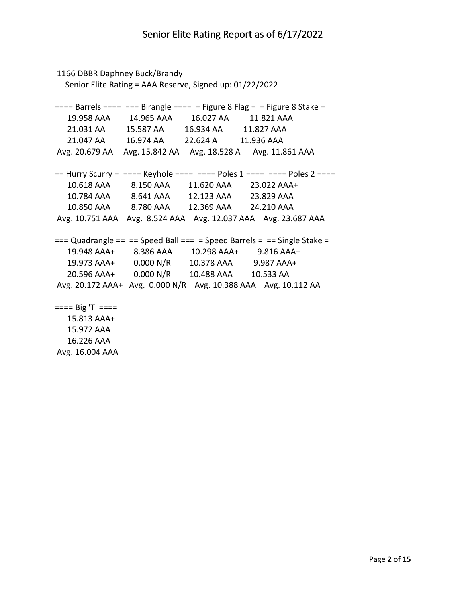1166 DBBR Daphney Buck/Brandy Senior Elite Rating = AAA Reserve, Signed up: 01/22/2022  $===$  Barrels  $===$   $===$  Birangle  $===$   $=$  Figure 8 Flag  $=$   $=$  Figure 8 Stake  $=$  19.958 AAA 14.965 AAA 16.027 AA 11.821 AAA 21.031 AA 15.587 AA 16.934 AA 11.827 AAA 21.047 AA 16.974 AA 22.624 A 11.936 AAA Avg. 20.679 AA Avg. 15.842 AA Avg. 18.528 A Avg. 11.861 AAA  $==$  Hurry Scurry =  $==$ == Keyhole  $==$ ===  $=$  Poles 1  $==$ ==  $=$  Poles 2  $==$ = 10.618 AAA 8.150 AAA 11.620 AAA 23.022 AAA+ 10.784 AAA 8.641 AAA 12.123 AAA 23.829 AAA 10.850 AAA 8.780 AAA 12.369 AAA 24.210 AAA Avg. 10.751 AAA Avg. 8.524 AAA Avg. 12.037 AAA Avg. 23.687 AAA  $==$  Quadrangle == == Speed Ball === = Speed Barrels = == Single Stake = 19.948 AAA+ 8.386 AAA 10.298 AAA+ 9.816 AAA+ 19.973 AAA+ 0.000 N/R 10.378 AAA 9.987 AAA+ 20.596 AAA+ 0.000 N/R 10.488 AAA 10.533 AA Avg. 20.172 AAA+ Avg. 0.000 N/R Avg. 10.388 AAA Avg. 10.112 AA  $====$  Big 'T'  $====$  15.813 AAA+ 15.972 AAA

 16.226 AAA Avg. 16.004 AAA

Page **2** of **15**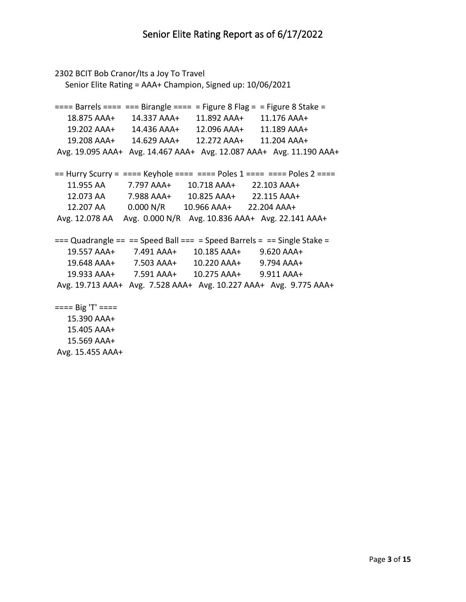```
2302 BCIT Bob Cranor/Its a Joy To Travel
   Senior Elite Rating = AAA+ Champion, Signed up: 10/06/2021
=== Barrels === === Birangle === = Figure 8 Flag = = Figure 8 Stake =
   18.875 AAA+ 14.337 AAA+ 11.892 AAA+ 11.176 AAA+
   19.202 AAA+ 14.436 AAA+ 12.096 AAA+ 11.189 AAA+
   19.208 AAA+ 14.629 AAA+ 12.272 AAA+ 11.204 AAA+
Avg. 19.095 AAA+ Avg. 14.467 AAA+ Avg. 12.087 AAA+ Avg. 11.190 AAA+
== Hurry Scurry = ==== Keyhole ===== = Poles 1 ==== = Poles 2 ===
   11.955 AA 7.797 AAA+ 10.718 AAA+ 22.103 AAA+
   12.073 AA 7.988 AAA+ 10.825 AAA+ 22.115 AAA+
   12.207 AA 0.000 N/R 10.966 AAA+ 22.204 AAA+
Avg. 12.078 AA Avg. 0.000 N/R Avg. 10.836 AAA+ Avg. 22.141 AAA+
== Quadrangle == == Speed Ball === = Speed Barrels = == Single Stake =
   19.557 AAA+ 7.491 AAA+ 10.185 AAA+ 9.620 AAA+
   19.648 AAA+ 7.503 AAA+ 10.220 AAA+ 9.794 AAA+
   19.933 AAA+ 7.591 AAA+ 10.275 AAA+ 9.911 AAA+
Avg. 19.713 AAA+ Avg. 7.528 AAA+ Avg. 10.227 AAA+ Avg. 9.775 AAA+
==== Big 'T' ==== 15.390 AAA+
   15.405 AAA+
   15.569 AAA+
```
Avg. 15.455 AAA+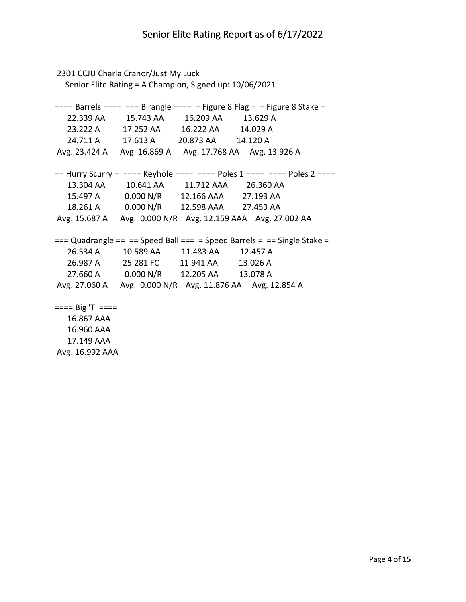```
2301 CCJU Charla Cranor/Just My Luck
   Senior Elite Rating = A Champion, Signed up: 10/06/2021
=== Barrels === === Birangle === = Figure 8 Flag = = Figure 8 Stake = 22.339 AA 15.743 AA 16.209 AA 13.629 A 
   23.222 A 17.252 AA 16.222 AA 14.029 A 
   24.711 A 17.613 A 20.873 AA 14.120 A 
Avg. 23.424 A Avg. 16.869 A Avg. 17.768 AA Avg. 13.926 A 
== Hurry Scurry = ==== Keyhole ===== = Poles 1 ==== = Poles 2 ===
   13.304 AA 10.641 AA 11.712 AAA 26.360 AA 
   15.497 A 0.000 N/R 12.166 AAA 27.193 AA 
   18.261 A 0.000 N/R 12.598 AAA 27.453 AA 
Avg. 15.687 A Avg. 0.000 N/R Avg. 12.159 AAA Avg. 27.002 AA 
== Quadrangle == == Speed Ball === = Speed Barrels = == Single Stake =
   26.534 A 10.589 AA 11.483 AA 12.457 A 
   26.987 A 25.281 FC 11.941 AA 13.026 A 
   27.660 A 0.000 N/R 12.205 AA 13.078 A 
Avg. 27.060 A Avg. 0.000 N/R Avg. 11.876 AA Avg. 12.854 A 
==== Big 'T' ==== 16.867 AAA 
   16.960 AAA 
   17.149 AAA
```
Avg. 16.992 AAA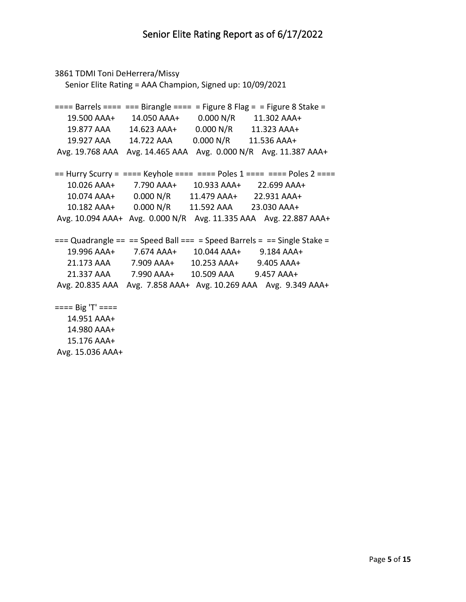```
3861 TDMI Toni DeHerrera/Missy
   Senior Elite Rating = AAA Champion, Signed up: 10/09/2021
=== Barrels === === Birangle === = Figure 8 Flag = = Figure 8 Stake =
   19.500 AAA+ 14.050 AAA+ 0.000 N/R 11.302 AAA+
   19.877 AAA 14.623 AAA+ 0.000 N/R 11.323 AAA+
   19.927 AAA 14.722 AAA 0.000 N/R 11.536 AAA+
Avg. 19.768 AAA Avg. 14.465 AAA Avg. 0.000 N/R Avg. 11.387 AAA+
== Hurry Scurry = ==== Keyhole ===== = Poles 1 ==== = Poles 2 ===
   10.026 AAA+ 7.790 AAA+ 10.933 AAA+ 22.699 AAA+
   10.074 AAA+ 0.000 N/R 11.479 AAA+ 22.931 AAA+
   10.182 AAA+ 0.000 N/R 11.592 AAA 23.030 AAA+
Avg. 10.094 AAA+ Avg. 0.000 N/R Avg. 11.335 AAA Avg. 22.887 AAA+
== Quadrangle == == Speed Ball === = Speed Barrels = == Single Stake =
   19.996 AAA+ 7.674 AAA+ 10.044 AAA+ 9.184 AAA+
   21.173 AAA 7.909 AAA+ 10.253 AAA+ 9.405 AAA+
   21.337 AAA 7.990 AAA+ 10.509 AAA 9.457 AAA+
Avg. 20.835 AAA Avg. 7.858 AAA+ Avg. 10.269 AAA Avg. 9.349 AAA+
==== Big 'T' ==== 14.951 AAA+
   14.980 AAA+
```
 15.176 AAA+ Avg. 15.036 AAA+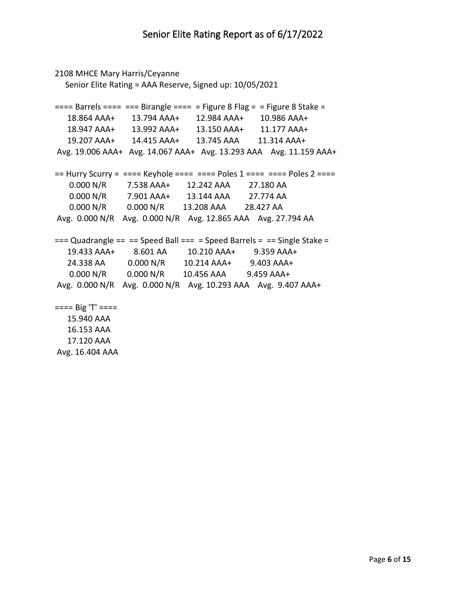```
2108 MHCE Mary Harris/Ceyanne
   Senior Elite Rating = AAA Reserve, Signed up: 10/05/2021
=== Barrels === === Birangle === = Figure 8 Flag = = Figure 8 Stake =
   18.864 AAA+ 13.794 AAA+ 12.984 AAA+ 10.986 AAA+
   18.947 AAA+ 13.992 AAA+ 13.150 AAA+ 11.177 AAA+
   19.207 AAA+ 14.415 AAA+ 13.745 AAA 11.314 AAA+
Avg. 19.006 AAA+ Avg. 14.067 AAA+ Avg. 13.293 AAA Avg. 11.159 AAA+
== Hurry Scurry = ==== Keyhole === === Poles 1 === = = Poles 2 ===
    0.000 N/R 7.538 AAA+ 12.242 AAA 27.180 AA 
    0.000 N/R 7.901 AAA+ 13.144 AAA 27.774 AA 
    0.000 N/R 0.000 N/R 13.208 AAA 28.427 AA 
Avg. 0.000 N/R Avg. 0.000 N/R Avg. 12.865 AAA Avg. 27.794 AA 
== Quadrangle == == Speed Ball === = Speed Barrels = == Single Stake =
   19.433 AAA+ 8.601 AA 10.210 AAA+ 9.359 AAA+
   24.338 AA 0.000 N/R 10.214 AAA+ 9.403 AAA+
    0.000 N/R 0.000 N/R 10.456 AAA 9.459 AAA+
Avg. 0.000 N/R Avg. 0.000 N/R Avg. 10.293 AAA Avg. 9.407 AAA+
==== Big 'T' ==== 15.940 AAA 
   16.153 AAA 
   17.120 AAA
```
Avg. 16.404 AAA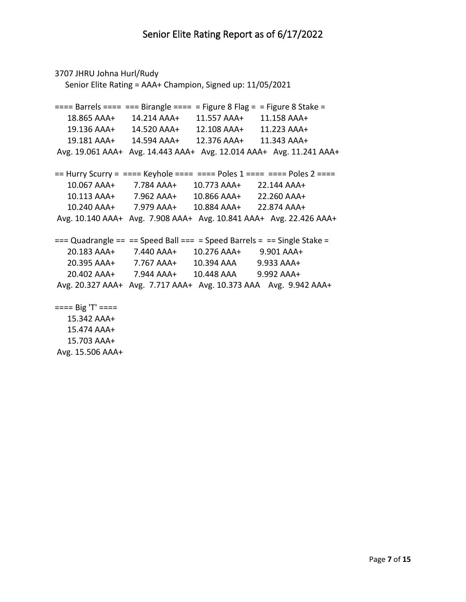```
3707 JHRU Johna Hurl/Rudy
   Senior Elite Rating = AAA+ Champion, Signed up: 11/05/2021
=== Barrels === === Birangle === = Figure 8 Flag = = Figure 8 Stake =
   18.865 AAA+ 14.214 AAA+ 11.557 AAA+ 11.158 AAA+
   19.136 AAA+ 14.520 AAA+ 12.108 AAA+ 11.223 AAA+
   19.181 AAA+ 14.594 AAA+ 12.376 AAA+ 11.343 AAA+
Avg. 19.061 AAA+ Avg. 14.443 AAA+ Avg. 12.014 AAA+ Avg. 11.241 AAA+
== Hurry Scurry = === Keyhole === === Poles 1 === = = Poles 2 === 10.067 AAA+ 7.784 AAA+ 10.773 AAA+ 22.144 AAA+
   10.113 AAA+ 7.962 AAA+ 10.866 AAA+ 22.260 AAA+
   10.240 AAA+ 7.979 AAA+ 10.884 AAA+ 22.874 AAA+
Avg. 10.140 AAA+ Avg. 7.908 AAA+ Avg. 10.841 AAA+ Avg. 22.426 AAA+
== Quadrangle == == Speed Ball === = Speed Barrels = == Single Stake =
   20.183 AAA+ 7.440 AAA+ 10.276 AAA+ 9.901 AAA+
   20.395 AAA+ 7.767 AAA+ 10.394 AAA 9.933 AAA+
   20.402 AAA+ 7.944 AAA+ 10.448 AAA 9.992 AAA+
Avg. 20.327 AAA+ Avg. 7.717 AAA+ Avg. 10.373 AAA Avg. 9.942 AAA+
==== Big 'T' ==== 15.342 AAA+
   15.474 AAA+
   15.703 AAA+
```
Avg. 15.506 AAA+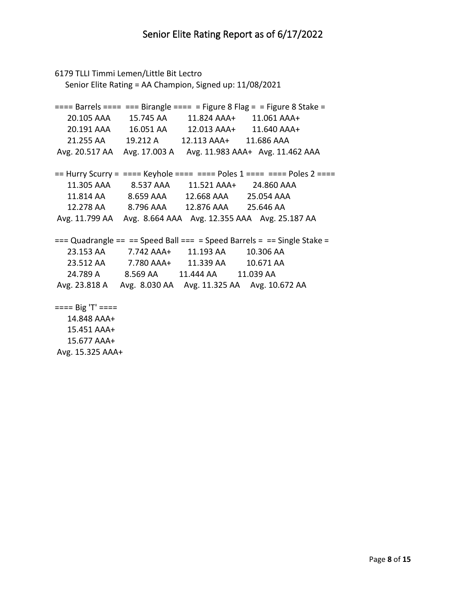```
6179 TLLI Timmi Lemen/Little Bit Lectro
   Senior Elite Rating = AA Champion, Signed up: 11/08/2021
=== Barrels === === Birangle === = Figure 8 Flag = = Figure 8 Stake = 20.105 AAA 15.745 AA 11.824 AAA+ 11.061 AAA+
   20.191 AAA 16.051 AA 12.013 AAA+ 11.640 AAA+
   21.255 AA 19.212 A 12.113 AAA+ 11.686 AAA 
Avg. 20.517 AA Avg. 17.003 A Avg. 11.983 AAA+ Avg. 11.462 AAA 
== Hurry Scurry = === Keyhole === === Poles 1 === = = Poles 2 === 11.305 AAA 8.537 AAA 11.521 AAA+ 24.860 AAA 
   11.814 AA 8.659 AAA 12.668 AAA 25.054 AAA 
   12.278 AA 8.796 AAA 12.876 AAA 25.646 AA 
Avg. 11.799 AA Avg. 8.664 AAA Avg. 12.355 AAA Avg. 25.187 AA 
== Quadrangle == == Speed Ball === = Speed Barrels = == Single Stake =
   23.153 AA 7.742 AAA+ 11.193 AA 10.306 AA 
   23.512 AA 7.780 AAA+ 11.339 AA 10.671 AA 
   24.789 A 8.569 AA 11.444 AA 11.039 AA 
Avg. 23.818 A Avg. 8.030 AA Avg. 11.325 AA Avg. 10.672 AA 
==== Big 'T' ==== 14.848 AAA+
   15.451 AAA+
```
 15.677 AAA+ Avg. 15.325 AAA+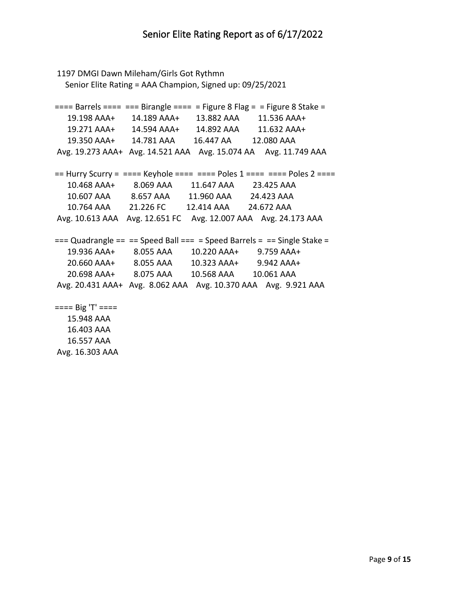```
1197 DMGI Dawn Mileham/Girls Got Rythmn
   Senior Elite Rating = AAA Champion, Signed up: 09/25/2021
=== Barrels === === Birangle === = Figure 8 Flag = = Figure 8 Stake = 19.198 AAA+ 14.189 AAA+ 13.882 AAA 11.536 AAA+
   19.271 AAA+ 14.594 AAA+ 14.892 AAA 11.632 AAA+
   19.350 AAA+ 14.781 AAA 16.447 AA 12.080 AAA 
Avg. 19.273 AAA+ Avg. 14.521 AAA Avg. 15.074 AA Avg. 11.749 AAA 
== Hurry Scurry = ==== Keyhole ===== = Poles 1 ==== = Poles 2 ===
   10.468 AAA+ 8.069 AAA 11.647 AAA 23.425 AAA 
   10.607 AAA 8.657 AAA 11.960 AAA 24.423 AAA 
   10.764 AAA 21.226 FC 12.414 AAA 24.672 AAA 
Avg. 10.613 AAA Avg. 12.651 FC Avg. 12.007 AAA Avg. 24.173 AAA 
== Quadrangle == == Speed Ball === = Speed Barrels = == Single Stake =
   19.936 AAA+ 8.055 AAA 10.220 AAA+ 9.759 AAA+
   20.660 AAA+ 8.055 AAA 10.323 AAA+ 9.942 AAA+
   20.698 AAA+ 8.075 AAA 10.568 AAA 10.061 AAA 
Avg. 20.431 AAA+ Avg. 8.062 AAA Avg. 10.370 AAA Avg. 9.921 AAA 
==== Big 'T' ==== 15.948 AAA 
   16.403 AAA
```
 16.557 AAA Avg. 16.303 AAA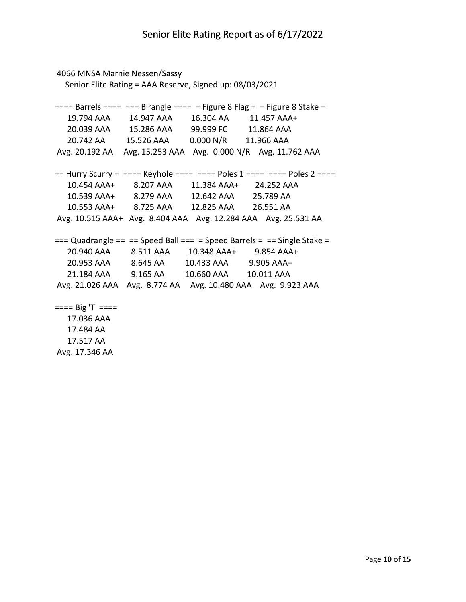```
4066 MNSA Marnie Nessen/Sassy
   Senior Elite Rating = AAA Reserve, Signed up: 08/03/2021
=== Barrels === === Birangle === = Figure 8 Flag = = Figure 8 Stake =
   19.794 AAA 14.947 AAA 16.304 AA 11.457 AAA+
   20.039 AAA 15.286 AAA 99.999 FC 11.864 AAA 
   20.742 AA 15.526 AAA 0.000 N/R 11.966 AAA 
Avg. 20.192 AA Avg. 15.253 AAA Avg. 0.000 N/R Avg. 11.762 AAA 
== Hurry Scurry = === Keyhole === === Poles 1 === = = Poles 2 === 10.454 AAA+ 8.207 AAA 11.384 AAA+ 24.252 AAA 
   10.539 AAA+ 8.279 AAA 12.642 AAA 25.789 AA 
   10.553 AAA+ 8.725 AAA 12.825 AAA 26.551 AA 
Avg. 10.515 AAA+ Avg. 8.404 AAA Avg. 12.284 AAA Avg. 25.531 AA 
== Quadrangle == == Speed Ball == = Speed Barrels = == Single Stake =
   20.940 AAA 8.511 AAA 10.348 AAA+ 9.854 AAA+
   20.953 AAA 8.645 AA 10.433 AAA 9.905 AAA+
   21.184 AAA 9.165 AA 10.660 AAA 10.011 AAA 
Avg. 21.026 AAA Avg. 8.774 AA Avg. 10.480 AAA Avg. 9.923 AAA 
==== Big 'T' ==== 17.036 AAA 
   17.484 AA
```
17.517 AA

Avg. 17.346 AA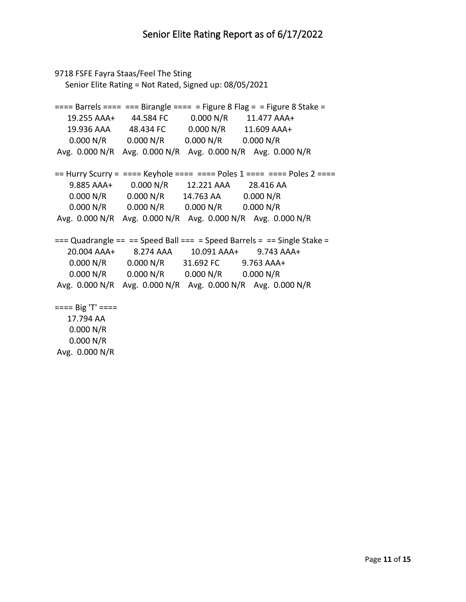```
9718 FSFE Fayra Staas/Feel The Sting
   Senior Elite Rating = Not Rated, Signed up: 08/05/2021
=== Barrels === === Birangle === = Figure 8 Flag = = Figure 8 Stake = 19.255 AAA+ 44.584 FC 0.000 N/R 11.477 AAA+
  19.936 AAA 48.434 FC 0.000 N/R 11.609 AAA+<br>0.000 N/R 0.000 N/R 0.000 N/R 0.000 N/R
    0.000 N/R 0.000 N/R 0.000 N/R 0.000 N/R 
Avg. 0.000 N/R Avg. 0.000 N/R Avg. 0.000 N/R Avg. 0.000 N/R 
== Hurry Scurry = ==== Keyhole ===== = Poles 1 ==== = Poles 2 ===
    9.885 AAA+ 0.000 N/R 12.221 AAA 28.416 AA 
    0.000 N/R 0.000 N/R 14.763 AA 0.000 N/R 
    0.000 N/R 0.000 N/R 0.000 N/R 0.000 N/R 
Avg. 0.000 N/R Avg. 0.000 N/R Avg. 0.000 N/R Avg. 0.000 N/R 
== Quadrangle == == Speed Ball === = Speed Barrels = == Single Stake =
   20.004 AAA+ 8.274 AAA 10.091 AAA+ 9.743 AAA+
    0.000 N/R 0.000 N/R 31.692 FC 9.763 AAA+
    0.000 N/R 0.000 N/R 0.000 N/R 0.000 N/R 
Avg. 0.000 N/R Avg. 0.000 N/R Avg. 0.000 N/R Avg. 0.000 N/R 
==== Big 'T' ==== 17.794 AA 
    0.000 N/R 
    0.000 N/R
```
Avg. 0.000 N/R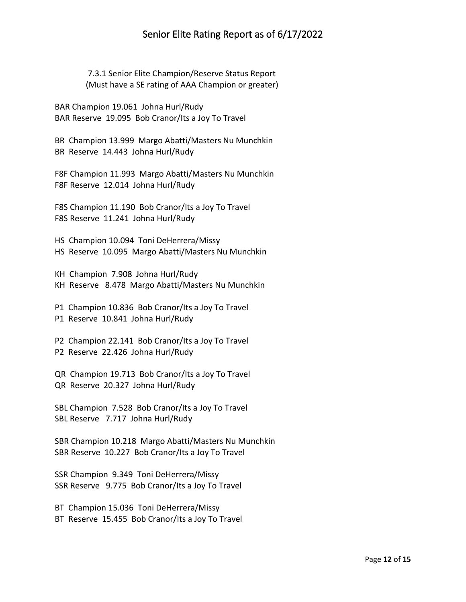## Senior Elite Rating Report as of 6/17/2022

 7.3.1 Senior Elite Champion/Reserve Status Report (Must have a SE rating of AAA Champion or greater)

BAR Champion 19.061 Johna Hurl/Rudy BAR Reserve 19.095 Bob Cranor/Its a Joy To Travel

BR Champion 13.999 Margo Abatti/Masters Nu Munchkin BR Reserve 14.443 Johna Hurl/Rudy

F8F Champion 11.993 Margo Abatti/Masters Nu Munchkin F8F Reserve 12.014 Johna Hurl/Rudy

F8S Champion 11.190 Bob Cranor/Its a Joy To Travel F8S Reserve 11.241 Johna Hurl/Rudy

HS Champion 10.094 Toni DeHerrera/Missy HS Reserve 10.095 Margo Abatti/Masters Nu Munchkin

KH Champion 7.908 Johna Hurl/Rudy KH Reserve 8.478 Margo Abatti/Masters Nu Munchkin

P1 Champion 10.836 Bob Cranor/Its a Joy To Travel P1 Reserve 10.841 Johna Hurl/Rudy

P2 Champion 22.141 Bob Cranor/Its a Joy To Travel P2 Reserve 22.426 Johna Hurl/Rudy

QR Champion 19.713 Bob Cranor/Its a Joy To Travel QR Reserve 20.327 Johna Hurl/Rudy

SBL Champion 7.528 Bob Cranor/Its a Joy To Travel SBL Reserve 7.717 Johna Hurl/Rudy

SBR Champion 10.218 Margo Abatti/Masters Nu Munchkin SBR Reserve 10.227 Bob Cranor/Its a Joy To Travel

SSR Champion 9.349 Toni DeHerrera/Missy SSR Reserve 9.775 Bob Cranor/Its a Joy To Travel

BT Champion 15.036 Toni DeHerrera/Missy BT Reserve 15.455 Bob Cranor/Its a Joy To Travel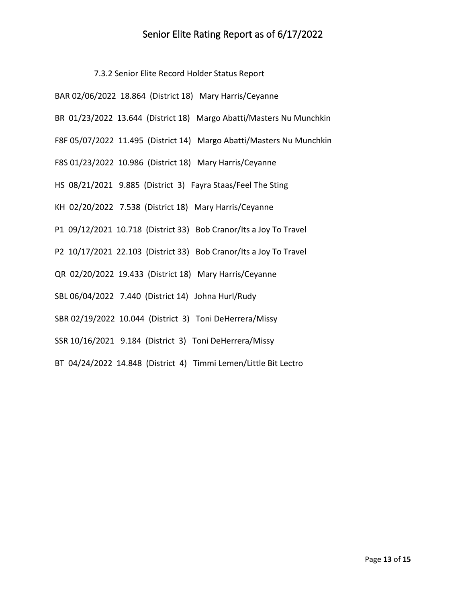## Senior Elite Rating Report as of 6/17/2022

7.3.2 Senior Elite Record Holder Status Report

| BAR 02/06/2022 18.864 (District 18) Mary Harris/Ceyanne              |
|----------------------------------------------------------------------|
| BR 01/23/2022 13.644 (District 18) Margo Abatti/Masters Nu Munchkin  |
| F8F 05/07/2022 11.495 (District 14) Margo Abatti/Masters Nu Munchkin |
| F8S 01/23/2022 10.986 (District 18) Mary Harris/Ceyanne              |
| HS 08/21/2021 9.885 (District 3) Fayra Staas/Feel The Sting          |
| KH 02/20/2022 7.538 (District 18) Mary Harris/Ceyanne                |
| P1 09/12/2021 10.718 (District 33) Bob Cranor/Its a Joy To Travel    |
| P2 10/17/2021 22.103 (District 33) Bob Cranor/Its a Joy To Travel    |
| QR 02/20/2022 19.433 (District 18) Mary Harris/Ceyanne               |
| SBL 06/04/2022 7.440 (District 14) Johna Hurl/Rudy                   |
| SBR 02/19/2022 10.044 (District 3) Toni DeHerrera/Missy              |
| SSR 10/16/2021 9.184 (District 3) Toni DeHerrera/Missy               |

BT 04/24/2022 14.848 (District 4) Timmi Lemen/Little Bit Lectro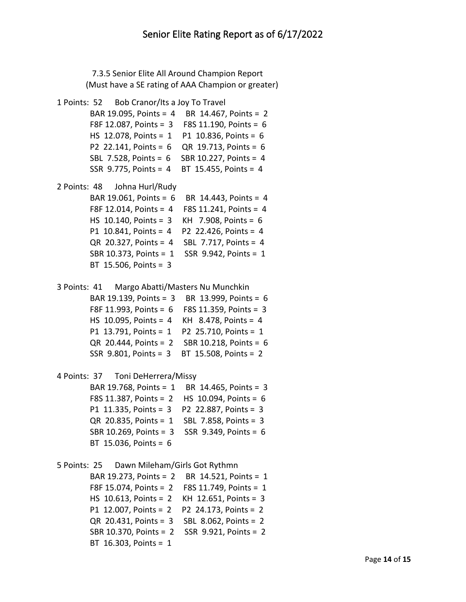7.3.5 Senior Elite All Around Champion Report (Must have a SE rating of AAA Champion or greater)

```
1 Points: 52 Bob Cranor/Its a Joy To Travel 
         BAR 19.095, Points = 4 BR 14.467, Points = 2
         F8F 12.087, Points = 3 F8S 11.190, Points = 6
         HS 12.078, Points = 1 P1 10.836, Points = 6
         P2 22.141, Points = 6 QR 19.713, Points = 6
         SBL 7.528, Points = 6 SBR 10.227, Points = 4
         SSR 9.775, Points = 4 BT 15.455, Points = 4
2 Points: 48 Johna Hurl/Rudy 
         BAR 19.061, Points = 6 BR 14.443, Points = 4
         F8F 12.014, Points = 4 F8S 11.241, Points = 4
         HS 10.140, Points = 3 KH 7.908, Points = 6
         P1 10.841, Points = 4 P2 22.426, Points = 4
         QR 20.327, Points = 4 SBL 7.717, Points = 4
         SBR 10.373, Points = 1 SSR 9.942, Points = 1
         BT 15.506, Points = 3
3 Points: 41 Margo Abatti/Masters Nu Munchkin 
         BAR 19.139, Points = 3 BR 13.999, Points = 6
         F8F 11.993, Points = 6 F8S 11.359, Points = 3
         HS 10.095, Points = 4 KH 8.478, Points = 4
         P1 13.791, Points = 1 P2 25.710, Points = 1
         QR 20.444, Points = 2 SBR 10.218, Points = 6
         SSR 9.801, Points = 3 BT 15.508, Points = 2
4 Points: 37 Toni DeHerrera/Missy 
         BAR 19.768, Points = 1 BR 14.465, Points = 3
         F8S 11.387, Points = 2 HS 10.094, Points = 6
         P1 11.335, Points = 3 P2 22.887, Points = 3
         QR 20.835, Points = 1 SBL 7.858, Points = 3
         SBR 10.269, Points = 3 SSR 9.349, Points = 6
         BT 15.036, Points = 6
5 Points: 25 Dawn Mileham/Girls Got Rythmn 
         BAR 19.273, Points = 2 BR 14.521, Points = 1
         F8F 15.074, Points = 2 F8S 11.749, Points = 1
         HS 10.613, Points = 2 KH 12.651, Points = 3
         P1 12.007, Points = 2 P2 24.173, Points = 2
         QR 20.431, Points = 3 SBL 8.062, Points = 2
```
SBR 10.370, Points = 2 SSR 9.921, Points = 2

BT 16.303, Points = 1